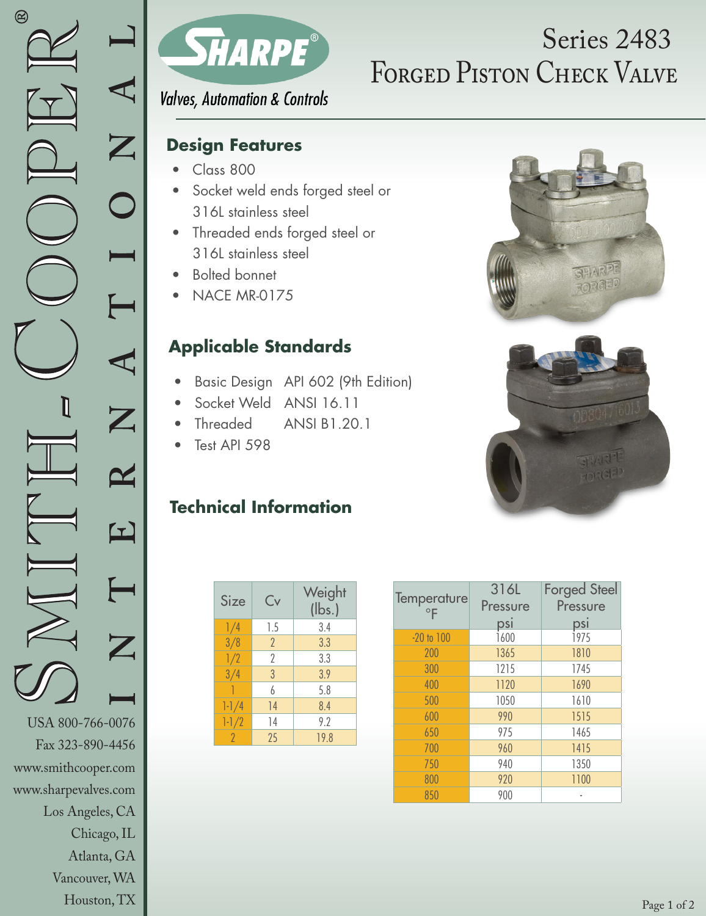

Houston, TX



# FORGED PISTON CHECK VALVE Series 2483

**Valves, Automation & Controls** 

### **Design Features**

- Class 800
- Socket weld ends forged steel or 316L stainless steel
- Threaded ends forged steel or 316L stainless steel
- Bolted bonnet
- NACE MR-0175

## **Applicable Standards**

- Basic Design API 602 (9th Edition)
- Socket Weld ANSI 16.11
- Threaded ANSI B1.20.1
- Test API 598

#### **Technical Information**

| Size      | Cv             | Weight<br>$(\mathsf{lbs.})$ |  |  |
|-----------|----------------|-----------------------------|--|--|
| 1/4       | 1.5            | 3.4                         |  |  |
| 3/8       | $\overline{2}$ | 3.3                         |  |  |
| 1/2       | $\gamma$       | 3.3                         |  |  |
| 3/4       | 3              | 3.9                         |  |  |
|           | h              | 5.8                         |  |  |
| $1 - 1/4$ | 14             | 8.4                         |  |  |
| $1 - 1/2$ | 14             | 9.2                         |  |  |
| 2         | 25             | 19.8                        |  |  |